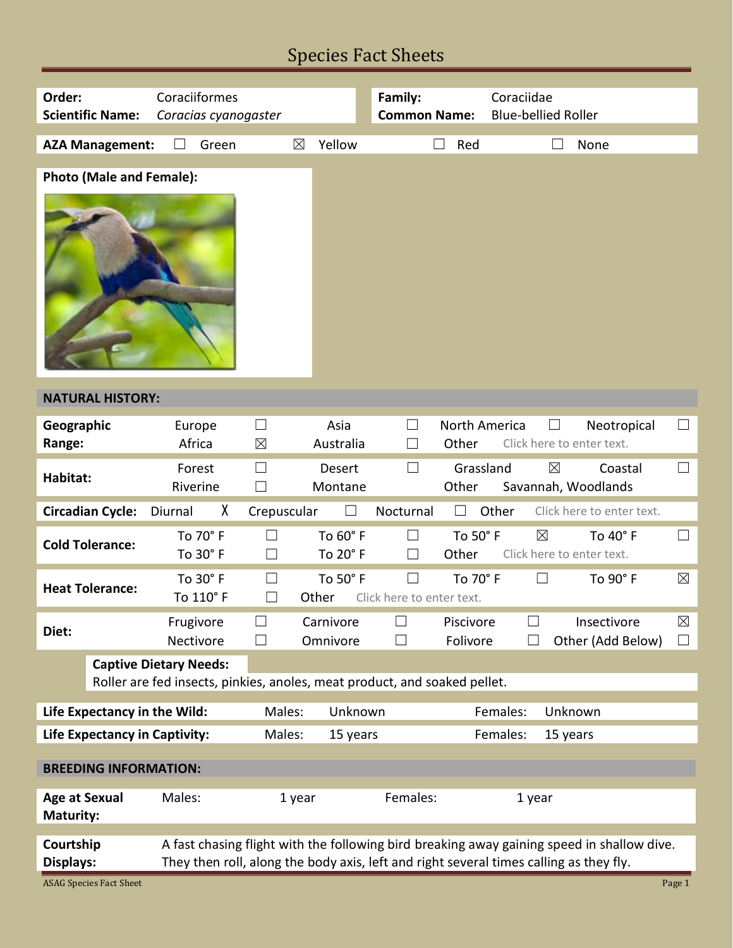# Species Fact Sheets

| Order:<br>Coraciiformes                                                   |                               |                                                                                                                                                                                      |                          | Family:                   |                               | Coraciidae                               |                                  |                       |  |  |
|---------------------------------------------------------------------------|-------------------------------|--------------------------------------------------------------------------------------------------------------------------------------------------------------------------------------|--------------------------|---------------------------|-------------------------------|------------------------------------------|----------------------------------|-----------------------|--|--|
| <b>Scientific Name:</b>                                                   | Coracias cyanogaster          |                                                                                                                                                                                      |                          | <b>Common Name:</b>       |                               | <b>Blue-bellied Roller</b>               |                                  |                       |  |  |
| <b>AZA Management:</b>                                                    | Green                         | $\boxtimes$                                                                                                                                                                          | Yellow                   |                           | Red                           |                                          | None                             |                       |  |  |
|                                                                           |                               |                                                                                                                                                                                      |                          |                           |                               |                                          |                                  |                       |  |  |
| <b>Photo (Male and Female):</b>                                           |                               |                                                                                                                                                                                      |                          |                           |                               |                                          |                                  |                       |  |  |
|                                                                           |                               |                                                                                                                                                                                      |                          |                           |                               |                                          |                                  |                       |  |  |
| <b>NATURAL HISTORY:</b>                                                   |                               |                                                                                                                                                                                      |                          |                           |                               |                                          |                                  |                       |  |  |
| Geographic<br>Range:                                                      | Europe<br>Africa              | $\Box$<br>$\boxtimes$                                                                                                                                                                | Asia<br>Australia        | $\vert \ \ \vert$         | <b>North America</b><br>Other | Click here to enter text.                | Neotropical                      | $\Box$                |  |  |
| Habitat:                                                                  | Forest<br>Riverine            | $\Box$<br>П                                                                                                                                                                          | <b>Desert</b><br>Montane | П                         | Grassland<br>Other            | $\boxtimes$<br>Savannah, Woodlands       | Coastal                          | $\vert \ \ \vert$     |  |  |
| <b>Circadian Cycle:</b>                                                   | χ<br>Diurnal                  | Crepuscular                                                                                                                                                                          |                          | Nocturnal                 |                               | Other                                    | Click here to enter text.        |                       |  |  |
| <b>Cold Tolerance:</b>                                                    | To 70° F<br>To 30° F          | П                                                                                                                                                                                    | To 60° F<br>To 20° F     | $\Box$<br>H               | To 50° F<br>Other             | $\boxtimes$<br>Click here to enter text. | To 40° F                         | $\Box$                |  |  |
| <b>Heat Tolerance:</b>                                                    | To 30° F<br>To 110° F         | ⊔                                                                                                                                                                                    | To 50° F<br>Other        | Click here to enter text. | To 70° F                      | $\Box$                                   | To 90° F                         | $\boxtimes$           |  |  |
| Diet:                                                                     | Frugivore<br>Nectivore        | ⊔                                                                                                                                                                                    | Carnivore<br>Omnivore    | $\overline{\phantom{a}}$  | Piscivore<br>Folivore         | $\sim$                                   | Insectivore<br>Other (Add Below) | $\boxtimes$<br>$\Box$ |  |  |
|                                                                           | <b>Captive Dietary Needs:</b> |                                                                                                                                                                                      |                          |                           |                               |                                          |                                  |                       |  |  |
| Roller are fed insects, pinkies, anoles, meat product, and soaked pellet. |                               |                                                                                                                                                                                      |                          |                           |                               |                                          |                                  |                       |  |  |
| Life Expectancy in the Wild:<br>Males:                                    |                               |                                                                                                                                                                                      | Unknown                  |                           |                               | Females:<br>Unknown                      |                                  |                       |  |  |
| <b>Life Expectancy in Captivity:</b>                                      | Males:<br>15 years            |                                                                                                                                                                                      |                          |                           | Females:<br>15 years          |                                          |                                  |                       |  |  |
| <b>BREEDING INFORMATION:</b>                                              |                               |                                                                                                                                                                                      |                          |                           |                               |                                          |                                  |                       |  |  |
| <b>Age at Sexual</b><br><b>Maturity:</b>                                  | Males:                        | 1 year                                                                                                                                                                               |                          | Females:                  |                               | 1 year                                   |                                  |                       |  |  |
| Courtship                                                                 |                               |                                                                                                                                                                                      |                          |                           |                               |                                          |                                  |                       |  |  |
| Displays:                                                                 |                               | A fast chasing flight with the following bird breaking away gaining speed in shallow dive.<br>They then roll, along the body axis, left and right several times calling as they fly. |                          |                           |                               |                                          |                                  |                       |  |  |
| <b>ASAG Species Fact Sheet</b>                                            |                               |                                                                                                                                                                                      |                          |                           |                               |                                          |                                  | Page 1                |  |  |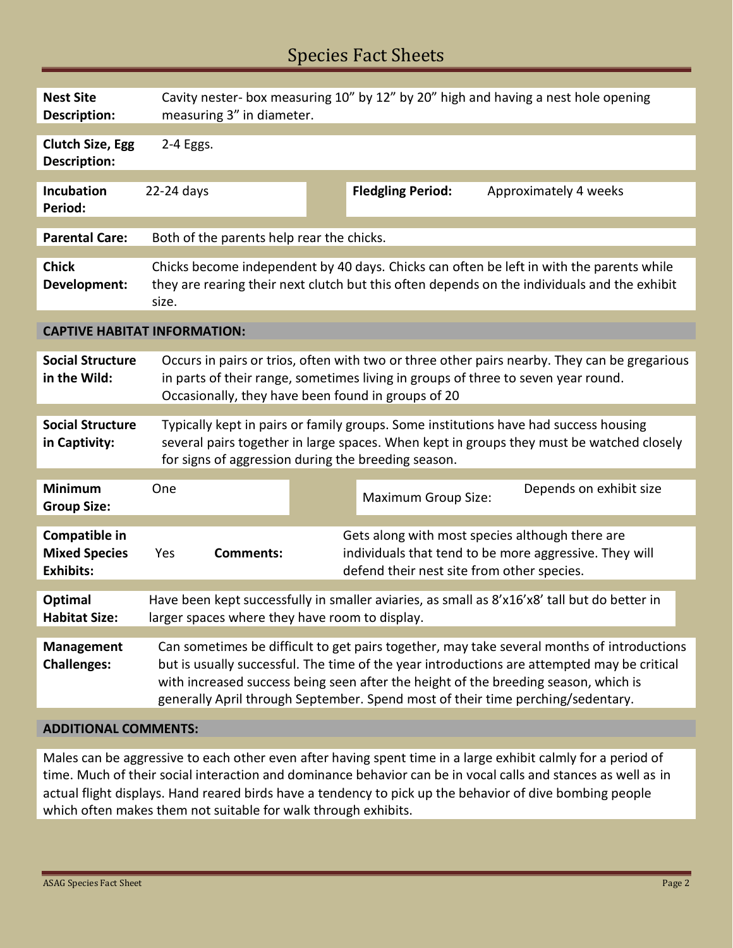## Species Fact Sheets

| <b>Nest Site</b><br><b>Description:</b>                   | Cavity nester- box measuring 10" by 12" by 20" high and having a nest hole opening<br>measuring 3" in diameter.                                                                                                                                                                                                                                                     |                  |  |                                            |                                                                                                           |  |  |  |
|-----------------------------------------------------------|---------------------------------------------------------------------------------------------------------------------------------------------------------------------------------------------------------------------------------------------------------------------------------------------------------------------------------------------------------------------|------------------|--|--------------------------------------------|-----------------------------------------------------------------------------------------------------------|--|--|--|
| <b>Clutch Size, Egg</b><br>Description:                   | 2-4 Eggs.                                                                                                                                                                                                                                                                                                                                                           |                  |  |                                            |                                                                                                           |  |  |  |
| <b>Incubation</b><br>Period:                              | 22-24 days                                                                                                                                                                                                                                                                                                                                                          |                  |  | <b>Fledgling Period:</b>                   | Approximately 4 weeks                                                                                     |  |  |  |
| <b>Parental Care:</b>                                     | Both of the parents help rear the chicks.                                                                                                                                                                                                                                                                                                                           |                  |  |                                            |                                                                                                           |  |  |  |
| <b>Chick</b><br>Development:                              | Chicks become independent by 40 days. Chicks can often be left in with the parents while<br>they are rearing their next clutch but this often depends on the individuals and the exhibit<br>size.                                                                                                                                                                   |                  |  |                                            |                                                                                                           |  |  |  |
| <b>CAPTIVE HABITAT INFORMATION:</b>                       |                                                                                                                                                                                                                                                                                                                                                                     |                  |  |                                            |                                                                                                           |  |  |  |
| <b>Social Structure</b><br>in the Wild:                   | Occurs in pairs or trios, often with two or three other pairs nearby. They can be gregarious<br>in parts of their range, sometimes living in groups of three to seven year round.<br>Occasionally, they have been found in groups of 20                                                                                                                             |                  |  |                                            |                                                                                                           |  |  |  |
| <b>Social Structure</b><br>in Captivity:                  | Typically kept in pairs or family groups. Some institutions have had success housing<br>several pairs together in large spaces. When kept in groups they must be watched closely<br>for signs of aggression during the breeding season.                                                                                                                             |                  |  |                                            |                                                                                                           |  |  |  |
| <b>Minimum</b><br><b>Group Size:</b>                      | One                                                                                                                                                                                                                                                                                                                                                                 |                  |  | <b>Maximum Group Size:</b>                 | Depends on exhibit size                                                                                   |  |  |  |
| Compatible in<br><b>Mixed Species</b><br><b>Exhibits:</b> | Yes                                                                                                                                                                                                                                                                                                                                                                 | <b>Comments:</b> |  | defend their nest site from other species. | Gets along with most species although there are<br>individuals that tend to be more aggressive. They will |  |  |  |
| <b>Optimal</b><br><b>Habitat Size:</b>                    | Have been kept successfully in smaller aviaries, as small as 8'x16'x8' tall but do better in<br>larger spaces where they have room to display.                                                                                                                                                                                                                      |                  |  |                                            |                                                                                                           |  |  |  |
| <b>Management</b><br><b>Challenges:</b>                   | Can sometimes be difficult to get pairs together, may take several months of introductions<br>but is usually successful. The time of the year introductions are attempted may be critical<br>with increased success being seen after the height of the breeding season, which is<br>generally April through September. Spend most of their time perching/sedentary. |                  |  |                                            |                                                                                                           |  |  |  |

### **ADDITIONAL COMMENTS:**

Males can be aggressive to each other even after having spent time in a large exhibit calmly for a period of time. Much of their social interaction and dominance behavior can be in vocal calls and stances as well as in actual flight displays. Hand reared birds have a tendency to pick up the behavior of dive bombing people which often makes them not suitable for walk through exhibits.